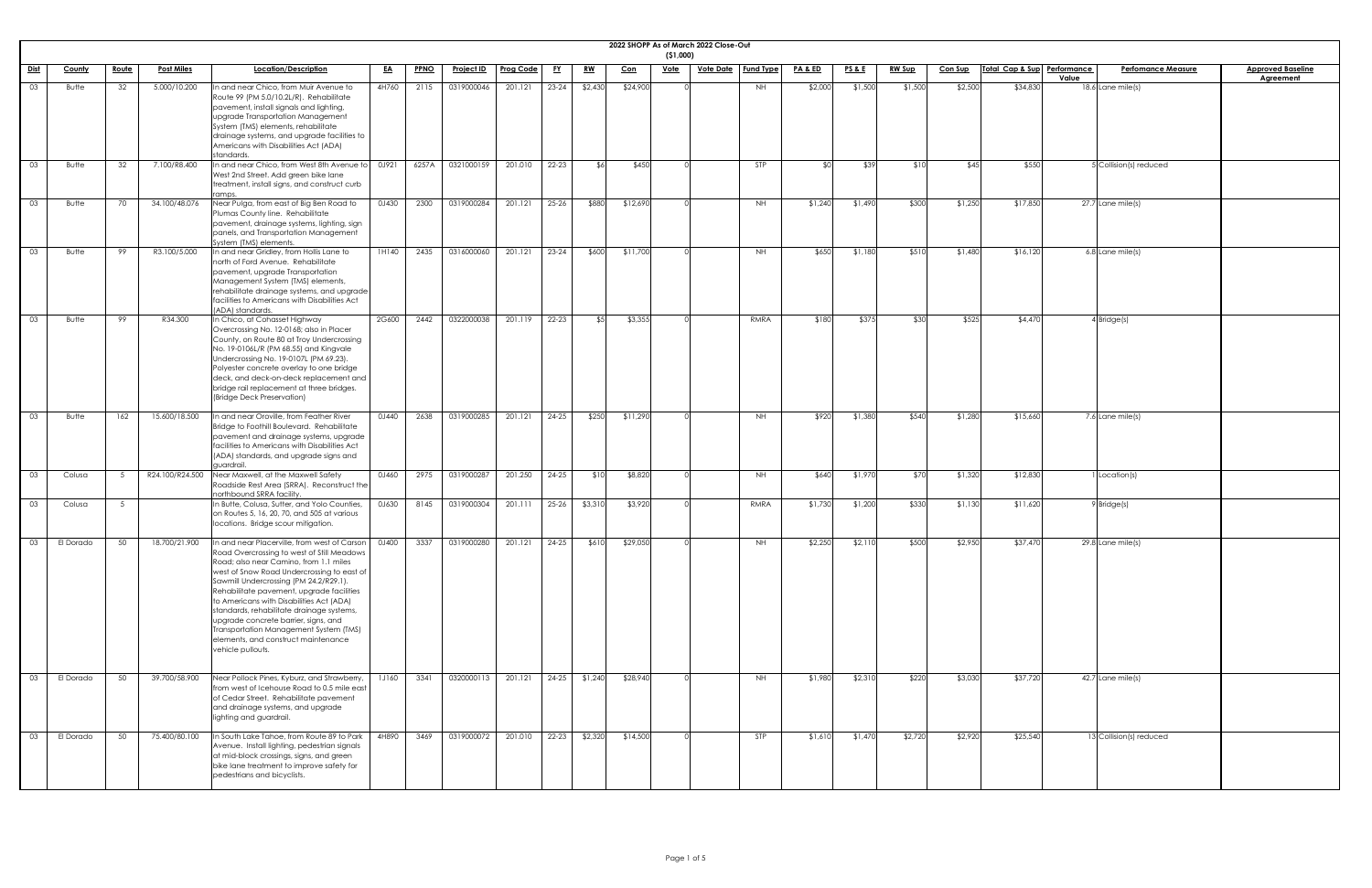|             |               |              |                   |                                                                                                                                                                                                                                                                                                                                                                                                                                                                                                                  |              |             |                   |                  |           |           |            | ( \$1,000)  | 2022 SHOPP As of March 2022 Close-Out |                  |                    |                 |               |                |                             |                                    |                          |
|-------------|---------------|--------------|-------------------|------------------------------------------------------------------------------------------------------------------------------------------------------------------------------------------------------------------------------------------------------------------------------------------------------------------------------------------------------------------------------------------------------------------------------------------------------------------------------------------------------------------|--------------|-------------|-------------------|------------------|-----------|-----------|------------|-------------|---------------------------------------|------------------|--------------------|-----------------|---------------|----------------|-----------------------------|------------------------------------|--------------------------|
| <u>Dist</u> | <b>County</b> | <u>Route</u> | <b>Post Miles</b> | Location/Description                                                                                                                                                                                                                                                                                                                                                                                                                                                                                             | <u>EA</u>    | <b>PPNO</b> | <u>Project ID</u> | <b>Prog Code</b> | <u>FY</u> | <u>RW</u> | <u>Con</u> | <u>Vote</u> | <u>Vote Date</u>                      | <b>Fund Type</b> | <u>PA &amp; ED</u> | <u>PS&amp;E</u> | <u>RW Sup</u> | <b>Con Sup</b> | Total Cap & Sup Performance | <b>Perfomance Measure</b><br>Value | <b>Approved Baseline</b> |
| 03          | Butte         | 32           | 5.000/10.200      | In and near Chico, from Muir Avenue to<br>Route 99 (PM 5.0/10.2L/R). Rehabilitate<br>pavement, install signals and lighting,<br>upgrade Transportation Management<br>System (TMS) elements, rehabilitate<br>drainage systems, and upgrade facilities to<br>Americans with Disabilities Act (ADA)<br>standards.                                                                                                                                                                                                   | 4H760        | 2115        | 0319000046        | 201.121          | $23 - 24$ | \$2,430   | \$24,900   |             |                                       | <b>NH</b>        | \$2,000            | \$1,500         | \$1,500       | \$2,500        | \$34,830                    | $18.6$ Lane mile(s)                | <b>Agreement</b>         |
| 03          | Butte         | 32           | 7.100/R8.400      | In and near Chico, from West 8th Avenue to<br>West 2nd Street. Add green bike lane<br>treatment, install signs, and construct curb<br>ramps.                                                                                                                                                                                                                                                                                                                                                                     | 0J921        | 6257A       | 0321000159        | 201.010          | 22-23     | $\upbeta$ | \$450      |             |                                       | STP              | ና በ                | \$39            | \$10          | \$45           | \$550                       | 5 Collision(s) reduced             |                          |
| 03          | Butte         | 70           | 34.100/48.076     | Near Pulga, from east of Big Ben Road to<br>Plumas County line. Rehabilitate<br>pavement, drainage systems, lighting, sign<br>panels, and Transportation Management<br>System (TMS) elements.                                                                                                                                                                                                                                                                                                                    | 0J430        | 2300        | 0319000284        | 201.121          | $25 - 26$ | \$880     | \$12,690   |             |                                       | NH               | \$1,240            | \$1,490         | \$300         | \$1,250        | \$17,850                    | $27.7$ Lane mile(s)                |                          |
| 03          | Butte         | 99           | R3.100/5.000      | In and near Gridley, from Hollis Lane to<br>north of Ford Avenue. Rehabilitate<br>pavement, upgrade Transportation<br>Management System (TMS) elements,<br>rehabilitate drainage systems, and upgrade<br>facilities to Americans with Disabilities Act<br>(ADA) standards.                                                                                                                                                                                                                                       | 1H140        | 2435        | 0316000060        | 201.121          | $23 - 24$ | \$600     | \$11,700   |             |                                       | NH               | \$650              | \$1,180         | \$510         | \$1,480        | \$16,120                    | $6.8$ Lane mile(s)                 |                          |
| 03          | Butte         | 99           | R34.300           | In Chico, at Cohasset Highway<br>Overcrossing No. 12-0168; also in Placer<br>County, on Route 80 at Troy Undercrossing<br>No. 19-0106L/R (PM 68.55) and Kingvale<br>Undercrossing No. 19-0107L (PM 69.23).<br>Polyester concrete overlay to one bridge<br>deck, and deck-on-deck replacement and<br>bridge rail replacement at three bridges.<br>(Bridge Deck Preservation)                                                                                                                                      | 2G600        | 2442        | 0322000038        | 201.119          | 22-23     | . የ. 5    | \$3,355    |             |                                       | RMRA             | \$180              | \$375           | \$30          | \$525          | \$4,470                     | $4$ Bridge(s)                      |                          |
| 03          | Butte         | 162          | 15.600/18.500     | In and near Oroville, from Feather River<br>Bridge to Foothill Boulevard. Rehabilitate<br>pavement and drainage systems, upgrade<br>facilities to Americans with Disabilities Act<br>(ADA) standards, and upgrade signs and<br>guardrail.                                                                                                                                                                                                                                                                        | 0J440        | 2638        | 0319000285        | 201.121          | 24-25     | \$250     | \$11,290   |             |                                       | NH               | \$920              | \$1,380         | \$540         | \$1,280        | \$15,660                    | 7.6 Lane mile(s)                   |                          |
| 03          | Colusa        |              | R24.100/R24.500   | Near Maxwell, at the Maxwell Safety<br>Roadside Rest Area (SRRA). Reconstruct the<br>northbound SRRA facility.                                                                                                                                                                                                                                                                                                                                                                                                   | 0J460        | 2975        | 0319000287        | 201.250          | $24 - 25$ | \$10      | \$8,820    |             |                                       | NH               | \$640              | \$1,970         | \$70          | \$1,320        | \$12,830                    | Location(s)                        |                          |
| 03          | Colusa        |              |                   | In Butte, Colusa, Sutter, and Yolo Counties,<br>on Routes 5, 16, 20, 70, and 505 at various<br>locations. Bridge scour mitigation.                                                                                                                                                                                                                                                                                                                                                                               | 0J630        | 8145        | 0319000304        | 201.111          | $25 - 26$ | \$3,310   | \$3,920    |             |                                       | RMRA             | \$1,730            | \$1,200         | \$330         | \$1,130        | \$11,620                    | $9$ Bridge(s)                      |                          |
| 03          | El Dorado     | 50           | 18.700/21.900     | In and near Placerville, from west of Carson<br>Road Overcrossing to west of Still Meadows<br>Road; also near Camino, from 1.1 miles<br>west of Snow Road Undercrossing to east of<br>Sawmill Undercrossing (PM 24.2/R29.1).<br>Rehabilitate pavement, upgrade facilities<br>to Americans with Disabilities Act (ADA)<br>standards, rehabilitate drainage systems,<br>upgrade concrete barrier, signs, and<br>Transportation Management System (TMS)<br>elements, and construct maintenance<br>vehicle pullouts. | 0J400        | 3337        | 0319000280        | 201.121          | 24-25     | \$610     | \$29,050   |             |                                       | <b>NH</b>        | \$2,250            | \$2,110         | \$500         | \$2,950        | \$37,470                    | $29.8$ Lane mile(s)                |                          |
|             | El Dorado     | 50           | 39.700/58.900     | Near Pollock Pines, Kyburz, and Strawberry,<br>from west of Icehouse Road to 0.5 mile east<br>of Cedar Street. Rehabilitate pavement<br>and drainage systems, and upgrade<br>lighting and guardrail.                                                                                                                                                                                                                                                                                                             | <b>1J160</b> | 3341        | 0320000113        | 201.121          | $24-25$   | \$1,240   | \$28,940   |             |                                       | <b>NH</b>        | \$1,980            | \$2,310         | \$220         | \$3,030        | \$37,720                    | $42.7$ Lane mile(s)                |                          |
| 03          | El Dorado     | 50           | 75.400/80.100     | In South Lake Tahoe, from Route 89 to Park<br>Avenue. Install lighting, pedestrian signals<br>at mid-block crossings, signs, and green<br>bike lane treatment to improve safety for<br>pedestrians and bicyclists.                                                                                                                                                                                                                                                                                               | 4H890        | 3469        | 0319000072        | 201.010          | $22 - 23$ | \$2,320   | \$14,500   |             |                                       | <b>STP</b>       | \$1,610            | \$1,470         | \$2,720       | \$2,920        | \$25,540                    | 13 Collision(s) reduced            |                          |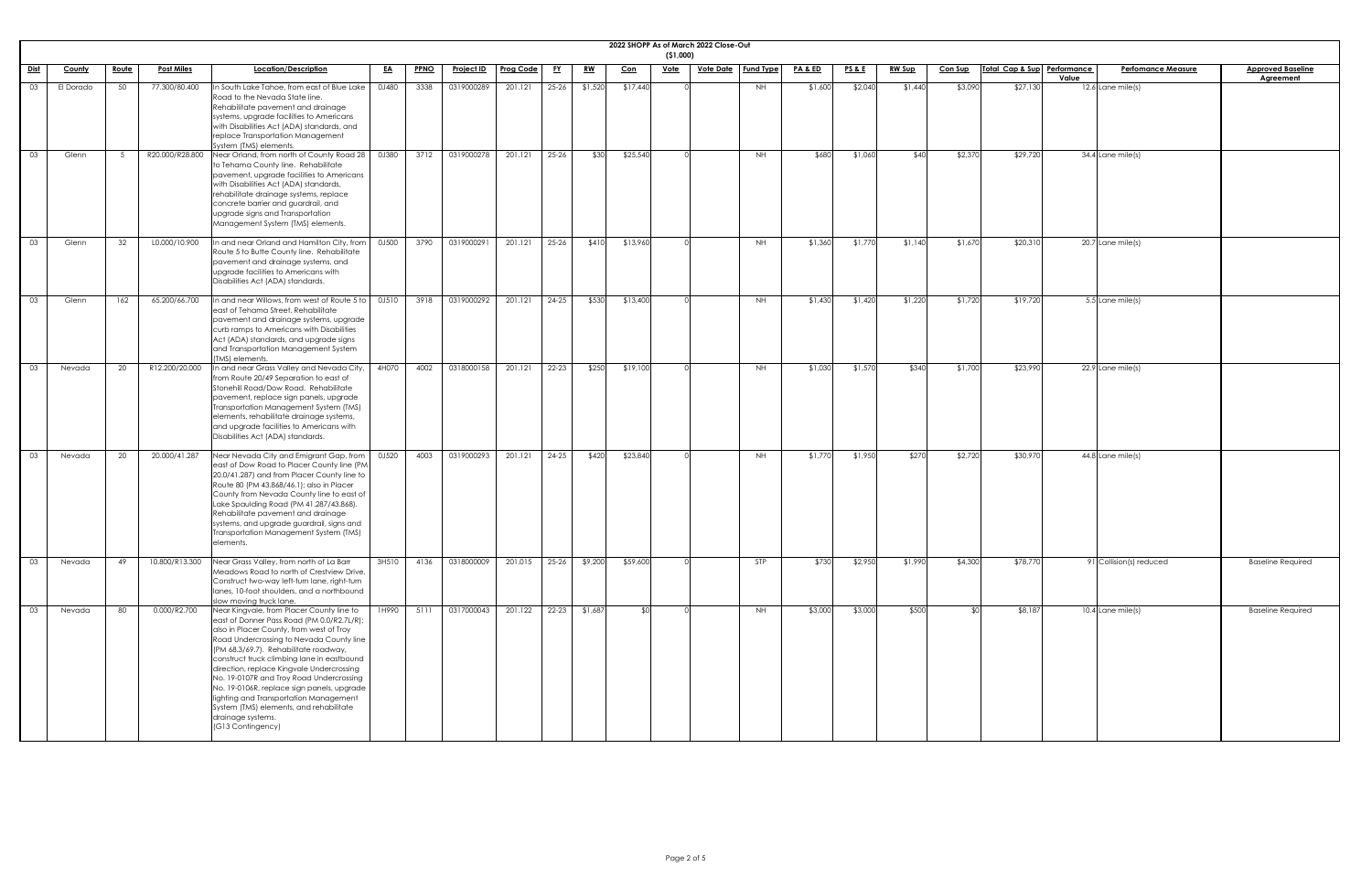|             |           |              |                   |                                                                                                                                                                                                                                                                                                                                                                                                                                                                                                                                              |           |      |                   |                  |           |           |          | (51,000)    | 2022 SHOPP As of March 2022 Close-Out |                  |                    |                 |               |                |                             |                                    |                                              |
|-------------|-----------|--------------|-------------------|----------------------------------------------------------------------------------------------------------------------------------------------------------------------------------------------------------------------------------------------------------------------------------------------------------------------------------------------------------------------------------------------------------------------------------------------------------------------------------------------------------------------------------------------|-----------|------|-------------------|------------------|-----------|-----------|----------|-------------|---------------------------------------|------------------|--------------------|-----------------|---------------|----------------|-----------------------------|------------------------------------|----------------------------------------------|
| <u>Dist</u> | County    | <u>Route</u> | <b>Post Miles</b> | Location/Description                                                                                                                                                                                                                                                                                                                                                                                                                                                                                                                         | <u>EA</u> | PPNO | <u>Project ID</u> | <b>Prog Code</b> | <u>FY</u> | <u>RW</u> | $Con$    | <b>Vote</b> | <u>Vote Date</u>                      | <b>Fund Type</b> | <u>PA &amp; ED</u> | <b>PS&amp;E</b> | <b>RW Sup</b> | <b>Con Sup</b> | Total Cap & Sup Performance | <b>Perfomance Measure</b><br>Value | <b>Approved Baseline</b><br><b>Agreement</b> |
| 03          | El Dorado | 50           | 77.300/80.400     | In South Lake Tahoe, from east of Blue Lake<br>Road to the Nevada State line.<br>Rehabilitate pavement and drainage<br>systems, upgrade facilities to Americans<br>with Disabilities Act (ADA) standards, and<br>replace Transportation Management<br>System (TMS) elements.                                                                                                                                                                                                                                                                 | 0J480     | 3338 | 0319000289        | 201.121          | $25-26$   | \$1,520   | \$17,440 |             |                                       | <b>NH</b>        | \$1,600            | \$2,040         | \$1,440       | \$3,090        | \$27,130                    | 12.6 Lane mile(s)                  |                                              |
| 03          | Glenn     |              | R20.000/R28.800   | Near Orland, from north of County Road 28<br>to Tehama County line. Rehabilitate<br>pavement, upgrade facilities to Americans<br>with Disabilities Act (ADA) standards,<br>rehabilitate drainage systems, replace<br>concrete barrier and guardrail, and<br>upgrade signs and Transportation<br>Management System (TMS) elements.                                                                                                                                                                                                            | 0J380     | 3712 | 0319000278        | 201.121          | $25 - 26$ | \$30      | \$25,540 |             |                                       | NH               | \$680              | \$1,060         | \$40          | \$2,370        | \$29,720                    | 34.4 Lane mile(s)                  |                                              |
| 03          | Glenn     | 32           | L0.000/10.900     | In and near Orland and Hamilton City, from<br>Route 5 to Butte County line. Rehabilitate<br>pavement and drainage systems, and<br>upgrade facilities to Americans with<br>Disabilities Act (ADA) standards.                                                                                                                                                                                                                                                                                                                                  | 0J500     | 3790 | 0319000291        | 201.121          | $25 - 26$ | \$410     | \$13,960 |             |                                       | NH               | \$1,360            | \$1,770         | \$1,140       | \$1,670        | \$20,310                    | $20.7$ Lane mile(s)                |                                              |
| 03          | Glenn     | 162          | 65.200/66.700     | In and near Willows, from west of Route 5 to<br>east of Tehama Street. Rehabilitate<br>pavement and drainage systems, upgrade<br>curb ramps to Americans with Disabilities<br>Act (ADA) standards, and upgrade signs<br>and Transportation Management System<br>(TMS) elements.                                                                                                                                                                                                                                                              | 0J510     | 3918 | 0319000292        | 201.121          | 24-25     | \$530     | \$13,400 |             |                                       | <b>NH</b>        | \$1,430            | \$1,420         | \$1,220       | \$1,720        | \$19,720                    | 5.5 Lane mile(s)                   |                                              |
|             |           |              |                   | 03 Nevada 20 R12.200/20.000 In and near Grass Valley and Nevada City, 14H070 14002 0318000158 201.121 22-23 \$250 \$19,100<br>from Route 20/49 Separation to east of<br>Stonehill Road/Dow Road. Rehabilitate<br>pavement, replace sign panels, upgrade<br>Transportation Management System (TMS)<br>elements, rehabilitate drainage systems,<br>and upgrade facilities to Americans with<br>Disabilities Act (ADA) standards.                                                                                                               |           |      |                   |                  |           |           |          |             |                                       | NH               | \$1,030            | \$1,570         | \$340         | \$1,700        | \$23,990                    | $\sqrt{22.9}$ Lane mile(s)         |                                              |
| 03          | Nevada    | 20           | 20.000/41.287     | Near Nevada City and Emigrant Gap, from<br>east of Dow Road to Placer County line (PM)<br>20.0/41.287) and from Placer County line to<br>Route 80 (PM 43.868/46.1); also in Placer<br>County from Nevada County line to east of<br>Lake Spaulding Road (PM 41.287/43.868).<br>Rehabilitate pavement and drainage<br>systems, and upgrade guardrail, signs and<br>Transportation Management System (TMS)<br>elements.                                                                                                                         | 0J520     | 4003 | 0319000293        | 201.121          | $24 - 25$ | \$420     | \$23,840 |             |                                       | <b>NH</b>        | \$1,770            | \$1,950         | \$270         | \$2,720        | \$30,970                    | $44.8$ Lane mile(s)                |                                              |
| 03          | Nevada    | 49           | 10.800/R13.300    | Near Grass Valley, from north of La Barr<br>Meadows Road to north of Crestview Drive.<br>Construct two-way left-turn lane, right-turn<br>lanes, 10-foot shoulders, and a northbound<br>slow moving truck lane.                                                                                                                                                                                                                                                                                                                               | 3H510     | 4136 | 0318000009        | 201.015          | $25 - 26$ | \$9,200   | \$59,600 |             |                                       | STP              | \$730              | \$2,950         | \$1,990       | \$4,300        | \$78,770                    | 91 Collision(s) reduced            | <b>Baseline Required</b>                     |
| 03          | Nevada    | 80           | 0.000/R2.700      | Near Kingvale, from Placer County line to<br>east of Donner Pass Road (PM 0.0/R2.7L/R);<br>also in Placer County, from west of Troy<br>Road Undercrossing to Nevada County line<br>(PM 68.3/69.7). Rehabilitate roadway,<br>construct truck climbing lane in eastbound<br>direction, replace Kingvale Undercrossing<br>No. 19-0107R and Troy Road Undercrossing<br>No. 19-0106R, replace sign panels, upgrade<br>lighting and Transportation Management<br>System (TMS) elements, and rehabilitate<br>drainage systems.<br>(G13 Contingency) | 1H990     | 5111 | 0317000043        | 201.122          | $22 - 23$ | \$1,687   | \$0      |             |                                       | <b>NH</b>        | \$3,000            | \$3,000         | \$500         | <b>SO</b>      | \$8,187                     | $10.4$ Lane mile(s)                | <b>Baseline Required</b>                     |

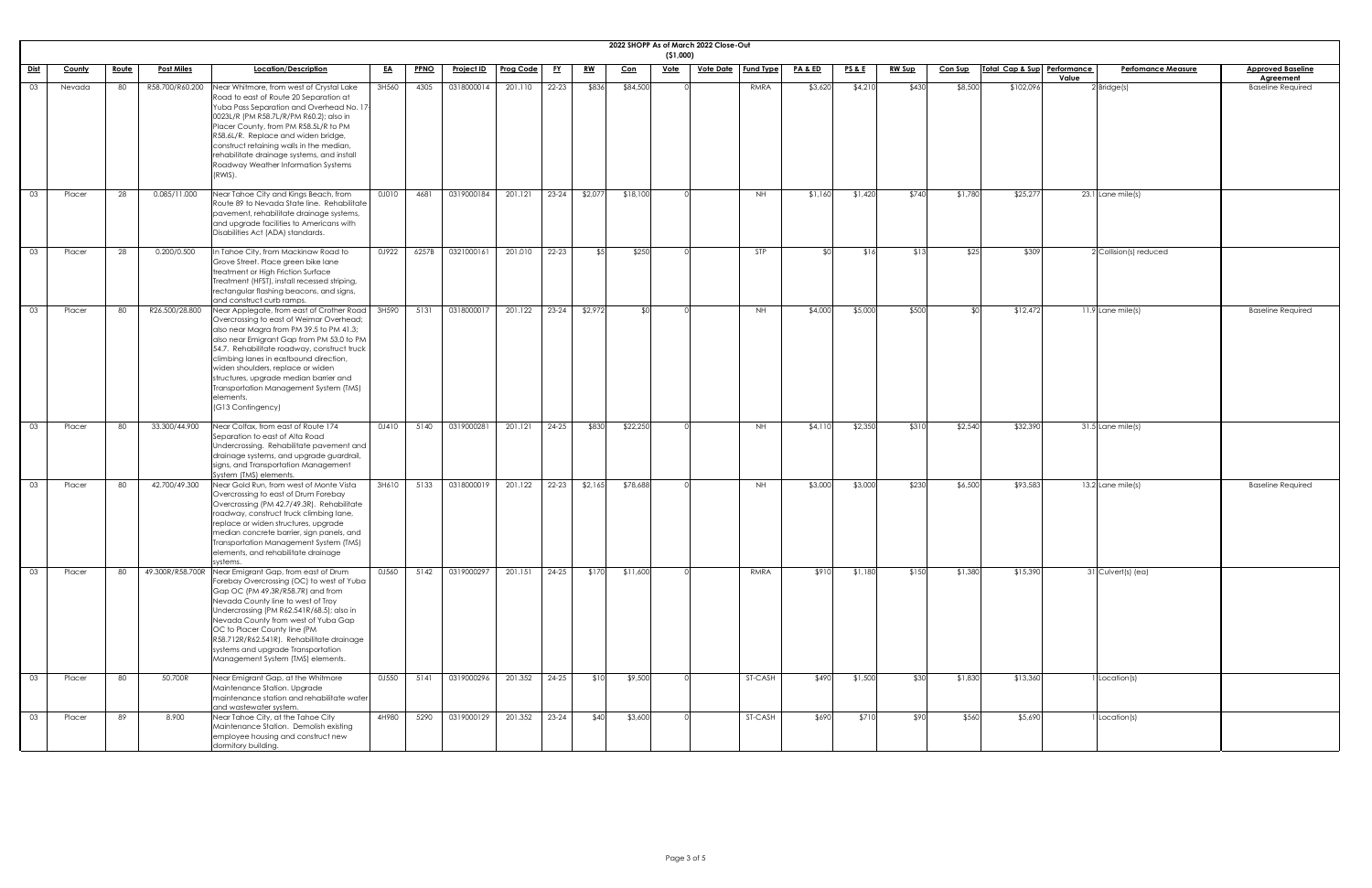|                 |               |              |                   |                                                                                                                                                                                                                                                                                                                                                                                                                                    |           |             |                   |                  |           |           |            | ( \$1,000)  | 2022 SHOPP As of March 2022 Close-Out |                  |                    |                   |               |                |                             |                                    |                                              |
|-----------------|---------------|--------------|-------------------|------------------------------------------------------------------------------------------------------------------------------------------------------------------------------------------------------------------------------------------------------------------------------------------------------------------------------------------------------------------------------------------------------------------------------------|-----------|-------------|-------------------|------------------|-----------|-----------|------------|-------------|---------------------------------------|------------------|--------------------|-------------------|---------------|----------------|-----------------------------|------------------------------------|----------------------------------------------|
| Dist            | <b>County</b> | <u>Route</u> | <b>Post Miles</b> | Location/Description                                                                                                                                                                                                                                                                                                                                                                                                               | <u>EA</u> | <b>PPNO</b> | <u>Project ID</u> | <b>Prog Code</b> | <u>FY</u> | <u>RW</u> | <u>Con</u> | <u>Vote</u> | <u>Vote Date</u>                      | <b>Fund Type</b> | <b>PA &amp; ED</b> | <u>PS &amp; E</u> | <b>RW Sup</b> | <u>Con Sup</u> | Total Cap & Sup Performance | <b>Perfomance Measure</b><br>Value | <b>Approved Baseline</b><br><b>Agreement</b> |
| 03              | Nevada        | 80           | R58.700/R60.200   | Near Whitmore, from west of Crystal Lake<br>Road to east of Route 20 Separation at<br>Yuba Pass Separation and Overhead No. 17<br>0023L/R (PM R58.7L/R/PM R60.2); also in<br>Placer County, from PM R58.5L/R to PM<br>R58.6L/R. Replace and widen bridge,<br>construct retaining walls in the median,<br>rehabilitate drainage systems, and install<br>Roadway Weather Information Systems<br>(RWIS).                              | 3H560     | 4305        | 0318000014        | 201.110          | $22 - 23$ | \$836     | \$84,500   |             |                                       | RMRA             | \$3,620            | \$4,210           | \$430         | \$8,500        | \$102,096                   | $2$ Bridge $(s)$                   | <b>Baseline Required</b>                     |
| 03              | Placer        | 28           | 0.085/11.000      | Near Tahoe City and Kings Beach, from<br>Route 89 to Nevada State line. Rehabilitate<br>pavement, rehabilitate drainage systems,<br>and upgrade facilities to Americans with<br>Disabilities Act (ADA) standards.                                                                                                                                                                                                                  | 0J010     | 4681        | 0319000184        | 201.121          | $23 - 24$ | \$2,077   | \$18,100   |             |                                       | <b>NH</b>        | \$1,160            | \$1,420           | \$740         | \$1,780        | \$25,277                    | 23.1 Lane mile(s)                  |                                              |
| 03              | Placer        | 28           | 0.200/0.500       | In Tahoe City, from Mackinaw Road to<br>Grove Street. Place green bike lane<br>treatment or High Friction Surface<br>Treatment (HFST), install recessed striping,<br>rectangular flashing beacons, and signs,<br>and construct curb ramps.                                                                                                                                                                                         | 0J922     | 6257B       | 0321000161        | 201.010          | $22 - 23$ | \$5       | \$250      |             |                                       | <b>STP</b>       | <b>SO</b>          | \$16              | \$13          | \$25           | \$309                       | $2$ Collision(s) reduced           |                                              |
| 03              | Placer        | 80           | R26.500/28.800    | Near Applegate, from east of Crother Road<br>Overcrossing to east of Weimar Overhead;<br>also near Magra from PM 39.5 to PM 41.3;<br>also near Emigrant Gap from PM 53.0 to PM<br>54.7. Rehabilitate roadway, construct truck<br>climbing lanes in eastbound direction,<br>widen shoulders, replace or widen<br>structures, upgrade median barrier and<br>Transportation Management System (TMS)<br>elements.<br>(G13 Contingency) | 3H590     | 5131        | 0318000017        | 201.122          | $23 - 24$ | \$2,972   | ്ടവ        |             |                                       | NH .             | \$4,000            | \$5,000           | \$500         |                | \$12,472                    | $11.9$ Lane mile(s)                | <b>Baseline Required</b>                     |
| $\overline{03}$ | Placer        | 80           | 33.300/44.900     | Near Colfax, from east of Route 174<br>Separation to east of Alta Road<br>Undercrossing. Rehabilitate pavement and<br>drainage systems, and upgrade guardrail,<br>signs, and Transportation Management<br>System (TMS) elements.                                                                                                                                                                                                   | 0J410     | 5140        | 0319000281        | 201.121          | $24 - 25$ | \$830     | \$22,250   |             |                                       | <b>NH</b>        | \$4,110            | \$2,350           | \$310         | \$2,540        | \$32,390                    | 31.5 Lane mile(s)                  |                                              |
| 03              | Placer        | 80           | 42.700/49.300     | Near Gold Run, from west of Monte Vista<br>Overcrossing to east of Drum Forebay<br>Overcrossing (PM 42.7/49.3R). Rehabilitate<br>roadway, construct truck climbing lane,<br>replace or widen structures, upgrade<br>median concrete barrier, sign panels, and<br>Transportation Management System (TMS)<br>elements, and rehabilitate drainage<br>systems.                                                                         | 3H610     | 5133        | 0318000019        | 201.122          | 22-23     | \$2,165   | \$78,688   |             |                                       | <b>NH</b>        | \$3,000            | \$3,000           | \$230         | \$6,500        | \$93,583                    | $13.2$ Lane mile(s)                | <b>Baseline Required</b>                     |
| 03              | Placer        | 80           |                   | 49.300R/R58.700R Near Emigrant Gap, from east of Drum<br>Forebay Overcrossing (OC) to west of Yuba<br>Gap OC (PM 49.3R/R58.7R) and from<br>Nevada County line to west of Troy<br>Undercrossing (PM R62.541R/68.5); also in<br>Nevada County from west of Yuba Gap<br>OC to Placer County line (PM<br>R58.712R/R62.541R). Rehabilitate drainage<br>systems and upgrade Transportation<br>Management System (TMS) elements.          | 0J560     | 5142        | 0319000297        | 201.151          | $24 - 25$ | \$170     | \$11,600   |             |                                       | RMRA             | \$910              | \$1,180           | \$150         | \$1,380        | \$15,390                    | 31 Culvert(s) (ea)                 |                                              |
| 03              | Placer        | 80           | 50.700R           | Near Emigrant Gap, at the Whitmore<br>Maintenance Station. Upgrade<br>maintenance station and rehabilitate water<br>and wastewater system.                                                                                                                                                                                                                                                                                         | 0J550     | 5141        | 0319000296        | 201.352          | $24 - 25$ | \$10      | \$9,500    |             |                                       | ST-CASH          | \$490              | \$1,500           | \$30          | \$1,830        | \$13,360                    | Location(s)                        |                                              |
| $\overline{03}$ | Placer        | 89           | 8.900             | Near Tahoe City, at the Tahoe City<br>Maintenance Station. Demolish existing<br>employee housing and construct new<br>dormitory building.                                                                                                                                                                                                                                                                                          | 4H980     | 5290        | 0319000129        | 201.352          | 23-24     | \$40      | \$3,600    |             |                                       | ST-CASH          | \$690              | \$710             | \$90          | \$560          | \$5,690                     | Location(s)                        |                                              |

| <u>aseline</u>       |  |
|----------------------|--|
| <u>ent</u><br>quired |  |
|                      |  |
|                      |  |
|                      |  |
|                      |  |
|                      |  |
|                      |  |
|                      |  |
|                      |  |
|                      |  |
|                      |  |
|                      |  |
| quired               |  |
|                      |  |
|                      |  |
|                      |  |
|                      |  |
|                      |  |
|                      |  |
|                      |  |
| quired               |  |
|                      |  |
|                      |  |
|                      |  |
|                      |  |
|                      |  |
|                      |  |
|                      |  |
|                      |  |
|                      |  |
|                      |  |
|                      |  |
|                      |  |
|                      |  |
|                      |  |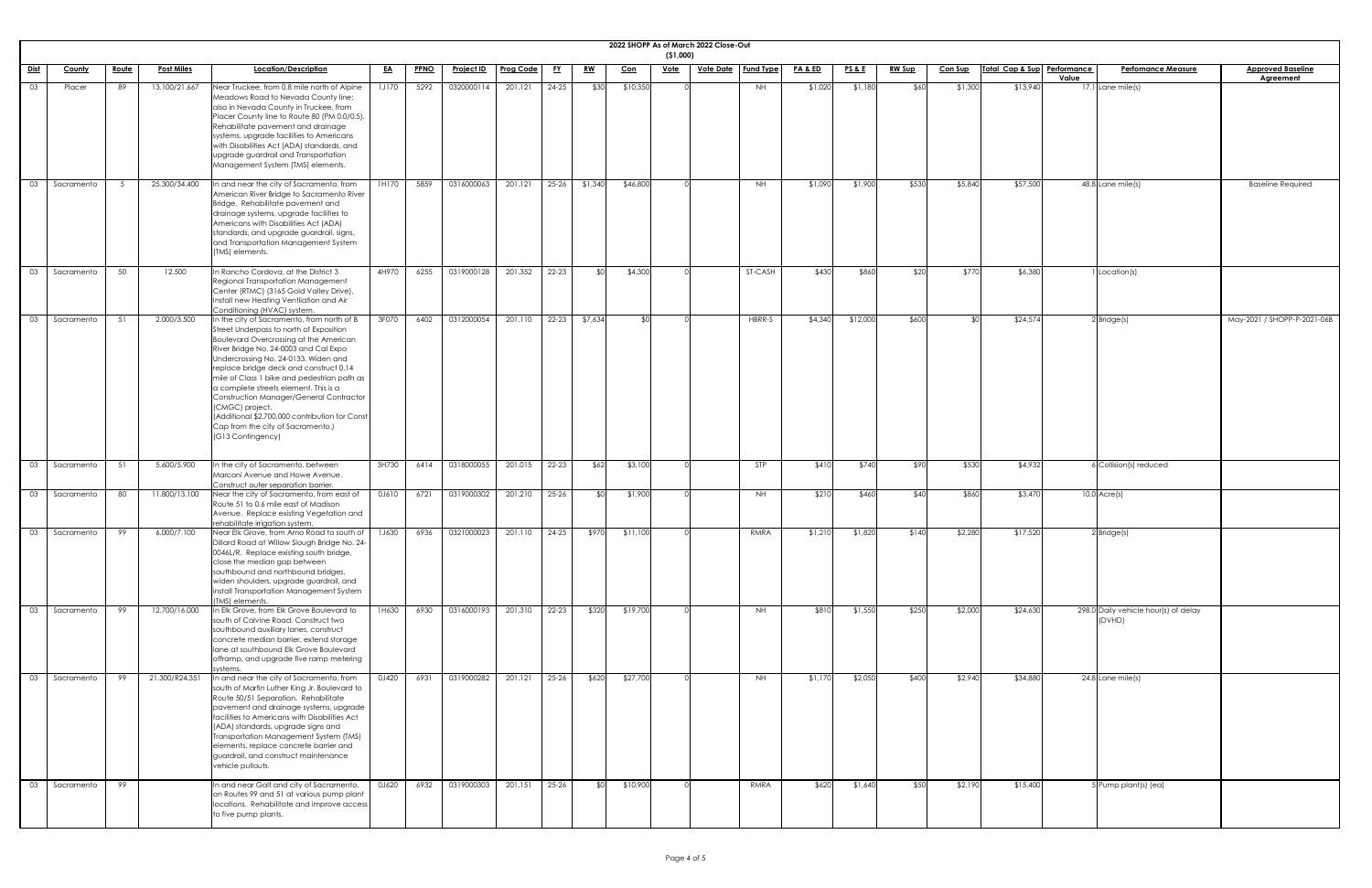|             |            |              |                   |                                                                                                                                                                                                                                                                                                                                                                                                                                                                                                                                     |              |             |                   |                  |           |           |            | ( \$1,000)  | 2022 SHOPP As of March 2022 Close-Out |                  |                    |                 |               |                |                             |       |                                                |                                              |
|-------------|------------|--------------|-------------------|-------------------------------------------------------------------------------------------------------------------------------------------------------------------------------------------------------------------------------------------------------------------------------------------------------------------------------------------------------------------------------------------------------------------------------------------------------------------------------------------------------------------------------------|--------------|-------------|-------------------|------------------|-----------|-----------|------------|-------------|---------------------------------------|------------------|--------------------|-----------------|---------------|----------------|-----------------------------|-------|------------------------------------------------|----------------------------------------------|
| <u>Dist</u> | County     | <u>Route</u> | <b>Post Miles</b> | Location/Description                                                                                                                                                                                                                                                                                                                                                                                                                                                                                                                | <u>EA</u>    | <b>PPNO</b> | <b>Project ID</b> | <b>Prog Code</b> | <u>EY</u> | <u>RW</u> | <u>Con</u> | <u>Vote</u> | <b>Vote Date</b>                      | <b>Fund Type</b> | <u>PA &amp; ED</u> | <b>PS&amp;E</b> | <b>RW Sup</b> | <b>Con Sup</b> | Total Cap & Sup Performance | Value | <b>Perfomance Measure</b>                      | <b>Approved Baseline</b><br><b>Agreement</b> |
| 03          | Placer     | 89           | 13.100/21.667     | Near Truckee, from 0.8 mile north of Alpine<br>Meadows Road to Nevada County line;<br>also in Nevada County in Truckee, from<br>Placer County line to Route 80 (PM 0.0/0.5).<br>Rehabilitate pavement and drainage<br>systems, upgrade facilities to Americans<br>with Disabilities Act (ADA) standards, and<br>upgrade guardrail and Transportation<br>Management System (TMS) elements.                                                                                                                                           | <b>1J170</b> | 5292        | 0320000114        | 201.121          | 24-25     | \$30      | \$10,350   |             |                                       | <b>NH</b>        | \$1,020            | \$1,180         | \$60          | \$1,300        | \$13,940                    |       | 17.1 Lane mile(s)                              |                                              |
| 03          | Sacramento |              | 25.300/34.400     | n and near the city of Sacramento, from<br>American River Bridge to Sacramento River<br>Bridge. Rehabilitate pavement and<br>drainage systems, upgrade facilities to<br>Americans with Disabilities Act (ADA)<br>standards, and upgrade guardrail, signs,<br>and Transportation Management System<br>(TMS) elements.                                                                                                                                                                                                                | 1H170        | 5859        | 0316000063        | 201.121          | $25 - 26$ | \$1,340   | \$46,800   |             |                                       | <b>NH</b>        | \$1,090            | \$1,900         | \$530         | \$5,840        | \$57,500                    |       | $48.8$ Lane mile(s)                            | <b>Baseline Required</b>                     |
| 03          | Sacramento | 50           | 12.500            | In Rancho Cordova, at the District 3<br>Regional Transportation Management<br>Center (RTMC) (3165 Gold Valley Drive).<br>Install new Heating Ventilation and Air<br>Conditioning (HVAC) system.                                                                                                                                                                                                                                                                                                                                     | 4H970        | 6255        | 0319000128        | 201.352          | 22-23     | ו∩≯       | \$4,300    |             |                                       | ST-CASH          | \$430              | \$860           | \$20          | \$770          | \$6,380                     |       | I Location(s)                                  |                                              |
| 03          | Sacramento | .51          | 2.000/3.500       | In the city of Sacramento, from north of B<br>Street Underpass to north of Exposition<br><b>Boulevard Overcrossing at the American</b><br>River Bridge No. 24-0003 and Cal Expo<br>Undercrossing No. 24-0133. Widen and<br>replace bridge deck and construct 0.14<br>mile of Class 1 bike and pedestrian path as<br>a complete streets element. This is a<br>Construction Manager/General Contractor<br>(CMGC) project.<br>(Additional \$2,700,000 contribution for Const<br>Cap from the city of Sacramento.)<br>(G13 Contingency) | 3F070        | 6402        | 0312000054        | 201.110          | $22 - 23$ | \$7,634   |            |             |                                       | HBRR-S           | \$4,340            | \$12,000        | \$600         | ו∩⊅            | \$24,574                    |       | $2$ Bridge(s)                                  | May-2021 / SHOPP-P-2021-06B                  |
| 03          | Sacramento | 51           | 5.600/5.900       | In the city of Sacramento, between<br>Marconi Avenue and Howe Avenue.                                                                                                                                                                                                                                                                                                                                                                                                                                                               | 3H730        | 6414        | 0318000055        | 201.015          | 22-23     | \$62      | \$3,100    |             |                                       | <b>STP</b>       | \$410              | \$740           | \$90          | \$530          | \$4,932                     |       | 6 Collision(s) reduced                         |                                              |
| 03          | Sacramento | 80           | 11.800/13.100     | Construct outer separation barrier.<br>Near the city of Sacramento, from east of<br>Route 51 to 0.6 mile east of Madison<br>Avenue. Replace existing Vegetation and<br>rehabilitate irrigation system.                                                                                                                                                                                                                                                                                                                              | 0J610        | 6721        | 0319000302        | 201.210          | 25-26     | ו∩\$      | \$1,900    |             |                                       | NH.              | \$210              | \$460           | \$40          | \$860          | \$3,470                     |       | $10.0$ Acre(s)                                 |                                              |
| 03          | Sacramento | 99           | 6.000/7.100       | Near Elk Grove, from Arno Road to south of<br>Dillard Road at Willow Slough Bridge No. 24-<br>0046L/R. Replace existing south bridge,<br>close the median gap between<br>southbound and northbound bridges,<br>widen shoulders, upgrade guardrail, and<br>install Transportation Management System<br>(TMS) elements.                                                                                                                                                                                                               | 1J630        | 6936        | 0321000023        | 201.110          | 24-25     | \$970     | \$11,100   |             |                                       | RMRA             | \$1,210            | \$1,820         | \$140         | \$2,280        | \$17,520                    |       | $2$ Bridge $(s)$                               |                                              |
| 03          | Sacramento | 99           | 12.700/16.000     | In Elk Grove, from Elk Grove Boulevard to<br>south of Calvine Road. Construct two<br>southbound auxiliary lanes, construct<br>concrete median barrier, extend storage<br>lane at southbound Elk Grove Boulevard<br>offramp, and upgrade five ramp metering<br>systems.                                                                                                                                                                                                                                                              | 1H630        | 6930        | 0316000193        | 201.310          | 22-23     | \$320     | \$19,700   |             |                                       | <b>NH</b>        | \$810              | \$1,550         | \$250         | \$2,000        | \$24,630                    |       | 298.0 Daily vehicle hour(s) of delay<br>(DVHD) |                                              |
| 03          | Sacramento | 99           | 21.300/R24.351    | n and near the city of Sacramento, from<br>south of Martin Luther King Jr. Boulevard to<br>Route 50/51 Separation. Rehabilitate<br>pavement and drainage systems, upgrade<br>facilities to Americans with Disabilities Act<br>(ADA) standards, upgrade signs and<br>Transportation Management System (TMS)<br>elements, replace concrete barrier and<br>guardrail, and construct maintenance<br>vehicle pullouts.                                                                                                                   | 0J420        | 6931        | 0319000282        | 201.121          | $25 - 26$ | \$620     | \$27,700   |             |                                       | NH               | \$1,170            | \$2,050         | \$400         | \$2,940        | \$34,880                    |       | $24.8$ Lane mile(s)                            |                                              |
| 03          | Sacramento | 99           |                   | In and near Galt and city of Sacramento,<br>on Routes 99 and 51 at various pump plant<br>locations. Rehabilitate and improve access<br>to five pump plants.                                                                                                                                                                                                                                                                                                                                                                         | 0J620        | 6932        | 0319000303        | 201.151          | 25-26     | \$0       | \$10,900   |             |                                       | RMRA             | \$620              | \$1,640         | \$50          | \$2,190        | \$15,400                    |       | 5 Pump plant(s) (ea)                           |                                              |

| <u>ine</u> |
|------------|
|            |
|            |
|            |
|            |
|            |
| ed         |
|            |
|            |
|            |
|            |
|            |
|            |
|            |
| 2021-06B   |
|            |
|            |
|            |
|            |
|            |
|            |
|            |
|            |
|            |
|            |
|            |
|            |
|            |
|            |
|            |
|            |
|            |
|            |
|            |
|            |
|            |
|            |
|            |
|            |
|            |
|            |
|            |
|            |
|            |